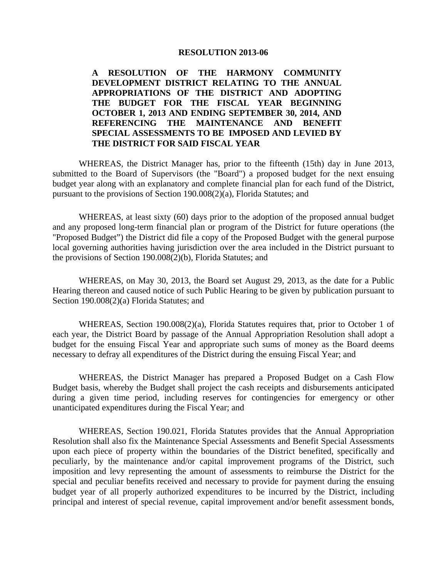#### **RESOLUTION 2013-06**

**A RESOLUTION OF THE HARMONY COMMUNITY DEVELOPMENT DISTRICT RELATING TO THE ANNUAL APPROPRIATIONS OF THE DISTRICT AND ADOPTING THE BUDGET FOR THE FISCAL YEAR BEGINNING OCTOBER 1, 2013 AND ENDING SEPTEMBER 30, 2014, AND REFERENCING THE MAINTENANCE AND BENEFIT SPECIAL ASSESSMENTS TO BE IMPOSED AND LEVIED BY THE DISTRICT FOR SAID FISCAL YEAR** 

 WHEREAS, the District Manager has, prior to the fifteenth (15th) day in June 2013, submitted to the Board of Supervisors (the "Board") a proposed budget for the next ensuing budget year along with an explanatory and complete financial plan for each fund of the District, pursuant to the provisions of Section 190.008(2)(a), Florida Statutes; and

 WHEREAS, at least sixty (60) days prior to the adoption of the proposed annual budget and any proposed long-term financial plan or program of the District for future operations (the "Proposed Budget") the District did file a copy of the Proposed Budget with the general purpose local governing authorities having jurisdiction over the area included in the District pursuant to the provisions of Section 190.008(2)(b), Florida Statutes; and

 WHEREAS, on May 30, 2013, the Board set August 29, 2013, as the date for a Public Hearing thereon and caused notice of such Public Hearing to be given by publication pursuant to Section 190.008(2)(a) Florida Statutes; and

 WHEREAS, Section 190.008(2)(a), Florida Statutes requires that, prior to October 1 of each year, the District Board by passage of the Annual Appropriation Resolution shall adopt a budget for the ensuing Fiscal Year and appropriate such sums of money as the Board deems necessary to defray all expenditures of the District during the ensuing Fiscal Year; and

 WHEREAS, the District Manager has prepared a Proposed Budget on a Cash Flow Budget basis, whereby the Budget shall project the cash receipts and disbursements anticipated during a given time period, including reserves for contingencies for emergency or other unanticipated expenditures during the Fiscal Year; and

 WHEREAS, Section 190.021, Florida Statutes provides that the Annual Appropriation Resolution shall also fix the Maintenance Special Assessments and Benefit Special Assessments upon each piece of property within the boundaries of the District benefited, specifically and peculiarly, by the maintenance and/or capital improvement programs of the District, such imposition and levy representing the amount of assessments to reimburse the District for the special and peculiar benefits received and necessary to provide for payment during the ensuing budget year of all properly authorized expenditures to be incurred by the District, including principal and interest of special revenue, capital improvement and/or benefit assessment bonds,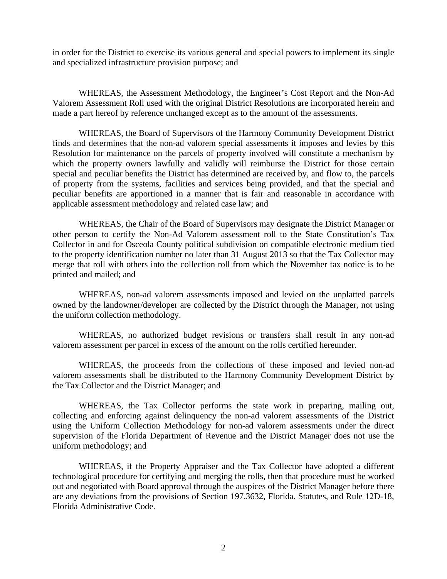in order for the District to exercise its various general and special powers to implement its single and specialized infrastructure provision purpose; and

 WHEREAS, the Assessment Methodology, the Engineer's Cost Report and the Non-Ad Valorem Assessment Roll used with the original District Resolutions are incorporated herein and made a part hereof by reference unchanged except as to the amount of the assessments.

 WHEREAS, the Board of Supervisors of the Harmony Community Development District finds and determines that the non-ad valorem special assessments it imposes and levies by this Resolution for maintenance on the parcels of property involved will constitute a mechanism by which the property owners lawfully and validly will reimburse the District for those certain special and peculiar benefits the District has determined are received by, and flow to, the parcels of property from the systems, facilities and services being provided, and that the special and peculiar benefits are apportioned in a manner that is fair and reasonable in accordance with applicable assessment methodology and related case law; and

 WHEREAS, the Chair of the Board of Supervisors may designate the District Manager or other person to certify the Non-Ad Valorem assessment roll to the State Constitution's Tax Collector in and for Osceola County political subdivision on compatible electronic medium tied to the property identification number no later than 31 August 2013 so that the Tax Collector may merge that roll with others into the collection roll from which the November tax notice is to be printed and mailed; and

 WHEREAS, non-ad valorem assessments imposed and levied on the unplatted parcels owned by the landowner/developer are collected by the District through the Manager, not using the uniform collection methodology.

 WHEREAS, no authorized budget revisions or transfers shall result in any non-ad valorem assessment per parcel in excess of the amount on the rolls certified hereunder.

 WHEREAS, the proceeds from the collections of these imposed and levied non-ad valorem assessments shall be distributed to the Harmony Community Development District by the Tax Collector and the District Manager; and

 WHEREAS, the Tax Collector performs the state work in preparing, mailing out, collecting and enforcing against delinquency the non-ad valorem assessments of the District using the Uniform Collection Methodology for non-ad valorem assessments under the direct supervision of the Florida Department of Revenue and the District Manager does not use the uniform methodology; and

 WHEREAS, if the Property Appraiser and the Tax Collector have adopted a different technological procedure for certifying and merging the rolls, then that procedure must be worked out and negotiated with Board approval through the auspices of the District Manager before there are any deviations from the provisions of Section 197.3632, Florida. Statutes, and Rule 12D-18, Florida Administrative Code.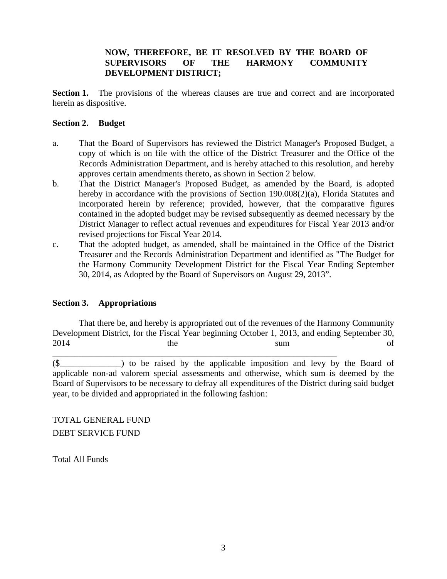# **NOW, THEREFORE, BE IT RESOLVED BY THE BOARD OF SUPERVISORS OF THE HARMONY COMMUNITY DEVELOPMENT DISTRICT;**

**Section 1.** The provisions of the whereas clauses are true and correct and are incorporated herein as dispositive.

### **Section 2. Budget**

- a. That the Board of Supervisors has reviewed the District Manager's Proposed Budget, a copy of which is on file with the office of the District Treasurer and the Office of the Records Administration Department, and is hereby attached to this resolution, and hereby approves certain amendments thereto, as shown in Section 2 below.
- b. That the District Manager's Proposed Budget, as amended by the Board, is adopted hereby in accordance with the provisions of Section 190.008(2)(a), Florida Statutes and incorporated herein by reference; provided, however, that the comparative figures contained in the adopted budget may be revised subsequently as deemed necessary by the District Manager to reflect actual revenues and expenditures for Fiscal Year 2013 and/or revised projections for Fiscal Year 2014.
- c. That the adopted budget, as amended, shall be maintained in the Office of the District Treasurer and the Records Administration Department and identified as "The Budget for the Harmony Community Development District for the Fiscal Year Ending September 30, 2014, as Adopted by the Board of Supervisors on August 29, 2013".

# **Section 3. Appropriations**

 That there be, and hereby is appropriated out of the revenues of the Harmony Community Development District, for the Fiscal Year beginning October 1, 2013, and ending September 30, 2014 the sum of

\_\_\_\_\_\_\_\_\_\_\_\_\_\_\_\_\_\_\_\_\_\_\_\_\_\_\_\_\_\_\_\_\_\_\_\_\_\_\_\_\_\_\_\_\_\_\_\_\_\_\_\_\_\_\_\_\_\_\_\_\_\_\_\_\_

(\$\_\_\_\_\_\_\_\_\_\_\_\_\_\_) to be raised by the applicable imposition and levy by the Board of applicable non-ad valorem special assessments and otherwise, which sum is deemed by the Board of Supervisors to be necessary to defray all expenditures of the District during said budget year, to be divided and appropriated in the following fashion:

TOTAL GENERAL FUND DEBT SERVICE FUND

Total All Funds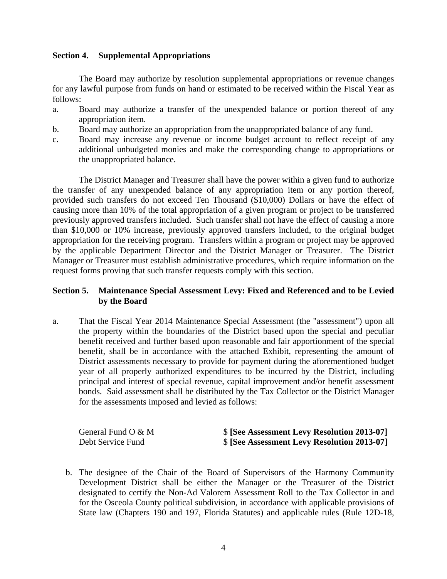### **Section 4. Supplemental Appropriations**

 The Board may authorize by resolution supplemental appropriations or revenue changes for any lawful purpose from funds on hand or estimated to be received within the Fiscal Year as follows:

- a. Board may authorize a transfer of the unexpended balance or portion thereof of any appropriation item.
- b. Board may authorize an appropriation from the unappropriated balance of any fund.
- c. Board may increase any revenue or income budget account to reflect receipt of any additional unbudgeted monies and make the corresponding change to appropriations or the unappropriated balance.

 The District Manager and Treasurer shall have the power within a given fund to authorize the transfer of any unexpended balance of any appropriation item or any portion thereof, provided such transfers do not exceed Ten Thousand (\$10,000) Dollars or have the effect of causing more than 10% of the total appropriation of a given program or project to be transferred previously approved transfers included. Such transfer shall not have the effect of causing a more than \$10,000 or 10% increase, previously approved transfers included, to the original budget appropriation for the receiving program. Transfers within a program or project may be approved by the applicable Department Director and the District Manager or Treasurer. The District Manager or Treasurer must establish administrative procedures, which require information on the request forms proving that such transfer requests comply with this section.

## **Section 5. Maintenance Special Assessment Levy: Fixed and Referenced and to be Levied by the Board**

a. That the Fiscal Year 2014 Maintenance Special Assessment (the "assessment") upon all the property within the boundaries of the District based upon the special and peculiar benefit received and further based upon reasonable and fair apportionment of the special benefit, shall be in accordance with the attached Exhibit, representing the amount of District assessments necessary to provide for payment during the aforementioned budget year of all properly authorized expenditures to be incurred by the District, including principal and interest of special revenue, capital improvement and/or benefit assessment bonds. Said assessment shall be distributed by the Tax Collector or the District Manager for the assessments imposed and levied as follows:

| General Fund $O & M$ | \$ [See Assessment Levy Resolution 2013-07] |
|----------------------|---------------------------------------------|
| Debt Service Fund    | \$ [See Assessment Levy Resolution 2013-07] |

b. The designee of the Chair of the Board of Supervisors of the Harmony Community Development District shall be either the Manager or the Treasurer of the District designated to certify the Non-Ad Valorem Assessment Roll to the Tax Collector in and for the Osceola County political subdivision, in accordance with applicable provisions of State law (Chapters 190 and 197, Florida Statutes) and applicable rules (Rule 12D-18,